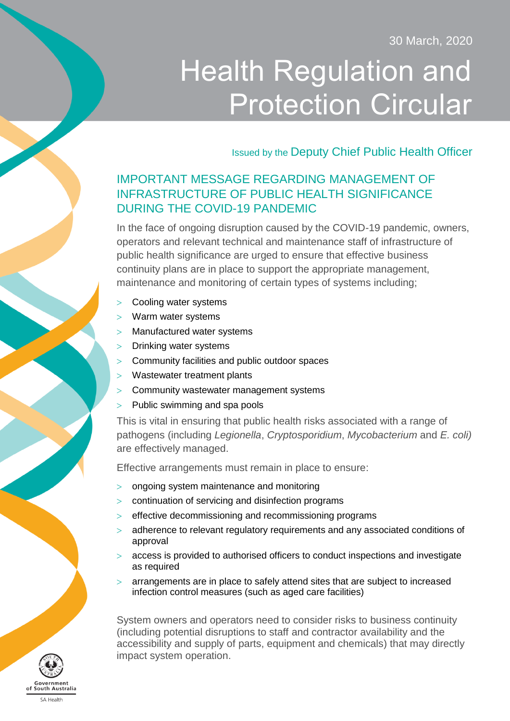30 March, 2020

# Health Regulation and Protection Circular

Issued by the Deputy Chief Public Health Officer

# IMPORTANT MESSAGE REGARDING MANAGEMENT OF INFRASTRUCTURE OF PUBLIC HEALTH SIGNIFICANCE DURING THE COVID-19 PANDEMIC

In the face of ongoing disruption caused by the COVID-19 pandemic, owners, operators and relevant technical and maintenance staff of infrastructure of public health significance are urged to ensure that effective business continuity plans are in place to support the appropriate management, maintenance and monitoring of certain types of systems including;

- > Cooling water systems
- Warm water systems
- Manufactured water systems
- Drinking water systems
- Community facilities and public outdoor spaces
- Wastewater treatment plants
- Community wastewater management systems
- $>$  Public swimming and spa pools

This is vital in ensuring that public health risks associated with a range of pathogens (including *Legionella*, *Cryptosporidium*, *Mycobacterium* and *E. coli)* are effectively managed.

Effective arrangements must remain in place to ensure:

- ongoing system maintenance and monitoring
- continuation of servicing and disinfection programs
- > effective decommissioning and recommissioning programs
- adherence to relevant regulatory requirements and any associated conditions of approval
- access is provided to authorised officers to conduct inspections and investigate as required
- $>$  arrangements are in place to safely attend sites that are subject to increased infection control measures (such as aged care facilities)

System owners and operators need to consider risks to business continuity (including potential disruptions to staff and contractor availability and the accessibility and supply of parts, equipment and chemicals) that may directly impact system operation.

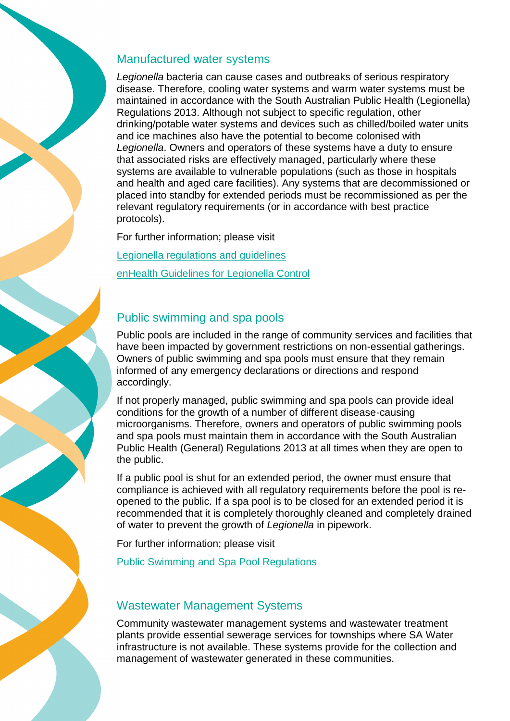#### Manufactured water systems

*Legionella* bacteria can cause cases and outbreaks of serious respiratory disease. Therefore, cooling water systems and warm water systems must be maintained in accordance with the South Australian Public Health (Legionella) Regulations 2013. Although not subject to specific regulation, other drinking/potable water systems and devices such as chilled/boiled water units and ice machines also have the potential to become colonised with *Legionella*. Owners and operators of these systems have a duty to ensure that associated risks are effectively managed, particularly where these systems are available to vulnerable populations (such as those in hospitals and health and aged care facilities). Any systems that are decommissioned or placed into standby for extended periods must be recommissioned as per the relevant regulatory requirements (or in accordance with best practice protocols).

For further information; please visit [Legionella regulations and guidelines](https://www.sahealth.sa.gov.au/wps/wcm/connect/Public+Content/SA+Health+Internet/Protecting+public+health/Water+quality/Legionella+regulations+and+guidelines) [enHealth Guidelines for Legionella Control](https://www1.health.gov.au/internet/main/publishing.nsf/content/A12B57E41EC9F326CA257BF0001F9E7D/$File/Guidelines-Legionella-control.pdf)

# Public swimming and spa pools

Public pools are included in the range of community services and facilities that have been impacted by government restrictions on non-essential gatherings. Owners of public swimming and spa pools must ensure that they remain informed of any emergency declarations or directions and respond accordingly.

If not properly managed, public swimming and spa pools can provide ideal conditions for the growth of a number of different disease-causing microorganisms. Therefore, owners and operators of public swimming pools and spa pools must maintain them in accordance with the South Australian Public Health (General) Regulations 2013 at all times when they are open to the public.

If a public pool is shut for an extended period, the owner must ensure that compliance is achieved with all regulatory requirements before the pool is reopened to the public. If a spa pool is to be closed for an extended period it is recommended that it is completely thoroughly cleaned and completely drained of water to prevent the growth of *Legionella* in pipework.

For further information; please visit

Public Swimming [and Spa Pool Regulations](https://www.sahealth.sa.gov.au/wps/wcm/connect/public+content/sa+health+internet/protecting+public+health/water+quality/swimming+pools+and+recreational+waters/public+swimming+pools+and+spa+pools)

# Wastewater Management Systems

Community wastewater management systems and wastewater treatment plants provide essential sewerage services for townships where SA Water infrastructure is not available. These systems provide for the collection and management of wastewater generated in these communities.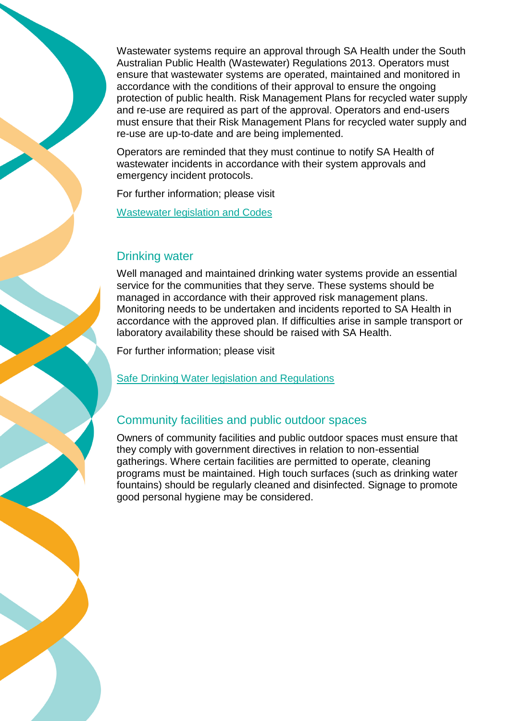Wastewater systems require an approval through SA Health under the South Australian Public Health (Wastewater) Regulations 2013. Operators must ensure that wastewater systems are operated, maintained and monitored in accordance with the conditions of their approval to ensure the ongoing protection of public health. Risk Management Plans for recycled water supply and re-use are required as part of the approval. Operators and end-users must ensure that their Risk Management Plans for recycled water supply and re-use are up-to-date and are being implemented.

Operators are reminded that they must continue to notify SA Health of wastewater incidents in accordance with their system approvals and emergency incident protocols.

For further information; please visit

[Wastewater legislation and Codes](https://www.sahealth.sa.gov.au/wps/wcm/connect/public+content/sa+health+internet/protecting+public+health/water+quality/wastewater) 

#### Drinking water

Well managed and maintained drinking water systems provide an essential service for the communities that they serve. These systems should be managed in accordance with their approved risk management plans. Monitoring needs to be undertaken and incidents reported to SA Health in accordance with the approved plan. If difficulties arise in sample transport or laboratory availability these should be raised with SA Health.

For further information; please visit

[Safe Drinking Water legislation and Regulations](https://www.sahealth.sa.gov.au/wps/wcm/connect/public+content/sa+health+internet/protecting+public+health/water+quality/providing+safe+drinking+water)

#### Community facilities and public outdoor spaces

Owners of community facilities and public outdoor spaces must ensure that they comply with government directives in relation to non-essential gatherings. Where certain facilities are permitted to operate, cleaning programs must be maintained. High touch surfaces (such as drinking water fountains) should be regularly cleaned and disinfected. Signage to promote good personal hygiene may be considered.